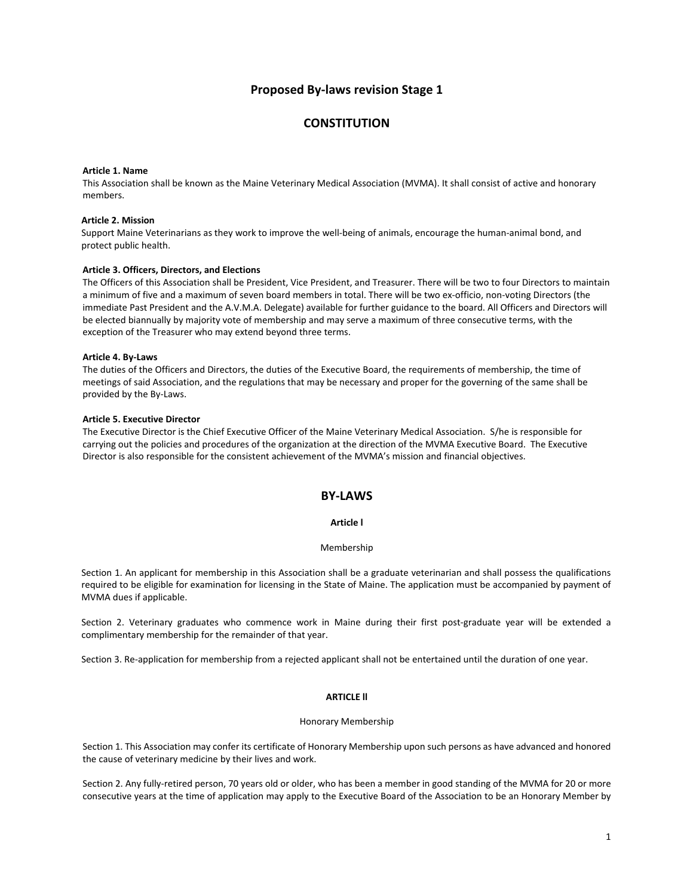# **Proposed By‐laws revision Stage 1**

# **CONSTITUTION**

#### **Article 1. Name**

This Association shall be known as the Maine Veterinary Medical Association (MVMA). It shall consist of active and honorary members.

### **Article 2. Mission**

Support Maine Veterinarians as they work to improve the well‐being of animals, encourage the human‐animal bond, and protect public health.

## **Article 3. Officers, Directors, and Elections**

The Officers of this Association shall be President, Vice President, and Treasurer. There will be two to four Directors to maintain a minimum of five and a maximum of seven board members in total. There will be two ex-officio, non-voting Directors (the immediate Past President and the A.V.M.A. Delegate) available for further guidance to the board. All Officers and Directors will be elected biannually by majority vote of membership and may serve a maximum of three consecutive terms, with the exception of the Treasurer who may extend beyond three terms.

#### **Article 4. By‐Laws**

The duties of the Officers and Directors, the duties of the Executive Board, the requirements of membership, the time of meetings of said Association, and the regulations that may be necessary and proper for the governing of the same shall be provided by the By‐Laws.

### **Article 5. Executive Director**

The Executive Director is the Chief Executive Officer of the Maine Veterinary Medical Association. S/he is responsible for carrying out the policies and procedures of the organization at the direction of the MVMA Executive Board. The Executive Director is also responsible for the consistent achievement of the MVMA's mission and financial objectives.

## **BY‐LAWS**

## **Article l**

### Membership

Section 1. An applicant for membership in this Association shall be a graduate veterinarian and shall possess the qualifications required to be eligible for examination for licensing in the State of Maine. The application must be accompanied by payment of MVMA dues if applicable.

Section 2. Veterinary graduates who commence work in Maine during their first post-graduate year will be extended a complimentary membership for the remainder of that year.

Section 3. Re‐application for membership from a rejected applicant shall not be entertained until the duration of one year.

## **ARTICLE ll**

#### Honorary Membership

Section 1. This Association may confer its certificate of Honorary Membership upon such persons as have advanced and honored the cause of veterinary medicine by their lives and work.

Section 2. Any fully‐retired person, 70 years old or older, who has been a member in good standing of the MVMA for 20 or more consecutive years at the time of application may apply to the Executive Board of the Association to be an Honorary Member by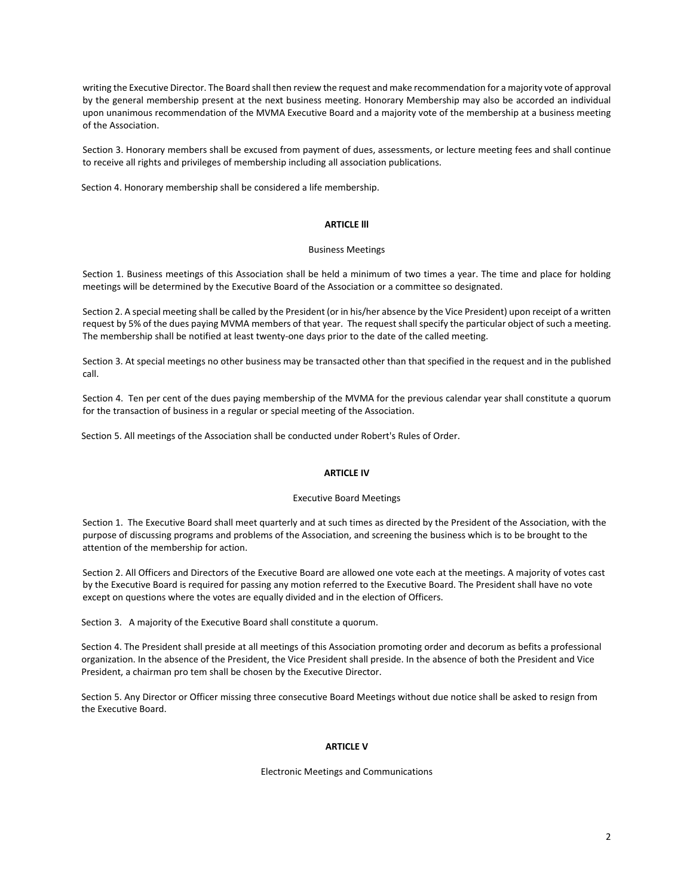writing the Executive Director. The Board shall then review the request and make recommendation for a majority vote of approval by the general membership present at the next business meeting. Honorary Membership may also be accorded an individual upon unanimous recommendation of the MVMA Executive Board and a majority vote of the membership at a business meeting of the Association.

Section 3. Honorary members shall be excused from payment of dues, assessments, or lecture meeting fees and shall continue to receive all rights and privileges of membership including all association publications.

Section 4. Honorary membership shall be considered a life membership.

## **ARTICLE lll**

#### Business Meetings

Section 1. Business meetings of this Association shall be held a minimum of two times a year. The time and place for holding meetings will be determined by the Executive Board of the Association or a committee so designated.

Section 2. A special meeting shall be called by the President (or in his/her absence by the Vice President) upon receipt of a written request by 5% of the dues paying MVMA members of that year. The request shallspecify the particular object of such a meeting. The membership shall be notified at least twenty-one days prior to the date of the called meeting.

Section 3. At special meetings no other business may be transacted other than that specified in the request and in the published call.

Section 4. Ten per cent of the dues paying membership of the MVMA for the previous calendar year shall constitute a quorum for the transaction of business in a regular or special meeting of the Association.

Section 5. All meetings of the Association shall be conducted under Robert's Rules of Order.

## **ARTICLE IV**

## Executive Board Meetings

Section 1. The Executive Board shall meet quarterly and at such times as directed by the President of the Association, with the purpose of discussing programs and problems of the Association, and screening the business which is to be brought to the attention of the membership for action.

Section 2. All Officers and Directors of the Executive Board are allowed one vote each at the meetings. A majority of votes cast by the Executive Board is required for passing any motion referred to the Executive Board. The President shall have no vote except on questions where the votes are equally divided and in the election of Officers.

Section 3. A majority of the Executive Board shall constitute a quorum.

Section 4. The President shall preside at all meetings of this Association promoting order and decorum as befits a professional organization. In the absence of the President, the Vice President shall preside. In the absence of both the President and Vice President, a chairman pro tem shall be chosen by the Executive Director.

Section 5. Any Director or Officer missing three consecutive Board Meetings without due notice shall be asked to resign from the Executive Board.

## **ARTICLE V**

### Electronic Meetings and Communications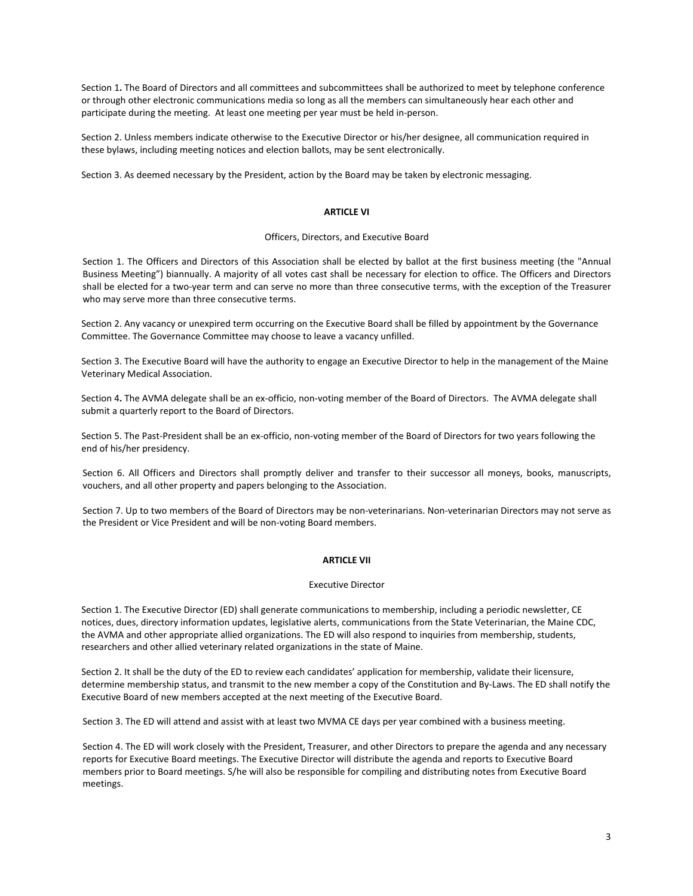Section 1**.** The Board of Directors and all committees and subcommittees shall be authorized to meet by telephone conference or through other electronic communications media so long as all the members can simultaneously hear each other and participate during the meeting. At least one meeting per year must be held in‐person.

Section 2. Unless members indicate otherwise to the Executive Director or his/her designee, all communication required in these bylaws, including meeting notices and election ballots, may be sent electronically.

Section 3. As deemed necessary by the President, action by the Board may be taken by electronic messaging.

## **ARTICLE VI**

## Officers, Directors, and Executive Board

Section 1. The Officers and Directors of this Association shall be elected by ballot at the first business meeting (the "Annual Business Meeting") biannually. A majority of all votes cast shall be necessary for election to office. The Officers and Directors shall be elected for a two-year term and can serve no more than three consecutive terms, with the exception of the Treasurer who may serve more than three consecutive terms.

Section 2. Any vacancy or unexpired term occurring on the Executive Board shall be filled by appointment by the Governance Committee. The Governance Committee may choose to leave a vacancy unfilled.

Section 3. The Executive Board will have the authority to engage an Executive Director to help in the management of the Maine Veterinary Medical Association.

Section 4**.** The AVMA delegate shall be an ex‐officio, non‐voting member of the Board of Directors. The AVMA delegate shall submit a quarterly report to the Board of Directors.

Section 5. The Past-President shall be an ex-officio, non-voting member of the Board of Directors for two years following the end of his/her presidency.

Section 6. All Officers and Directors shall promptly deliver and transfer to their successor all moneys, books, manuscripts, vouchers, and all other property and papers belonging to the Association.

Section 7. Up to two members of the Board of Directors may be non-veterinarians. Non-veterinarian Directors may not serve as the President or Vice President and will be non‐voting Board members.

## **ARTICLE VII**

#### Executive Director

Section 1. The Executive Director (ED) shall generate communications to membership, including a periodic newsletter, CE notices, dues, directory information updates, legislative alerts, communications from the State Veterinarian, the Maine CDC, the AVMA and other appropriate allied organizations. The ED will also respond to inquiries from membership, students, researchers and other allied veterinary related organizations in the state of Maine.

Section 2. It shall be the duty of the ED to review each candidates' application for membership, validate their licensure, determine membership status, and transmit to the new member a copy of the Constitution and By‐Laws. The ED shall notify the Executive Board of new members accepted at the next meeting of the Executive Board.

Section 3. The ED will attend and assist with at least two MVMA CE days per year combined with a business meeting.

Section 4. The ED will work closely with the President, Treasurer, and other Directors to prepare the agenda and any necessary reports for Executive Board meetings. The Executive Director will distribute the agenda and reports to Executive Board members prior to Board meetings. S/he will also be responsible for compiling and distributing notes from Executive Board meetings.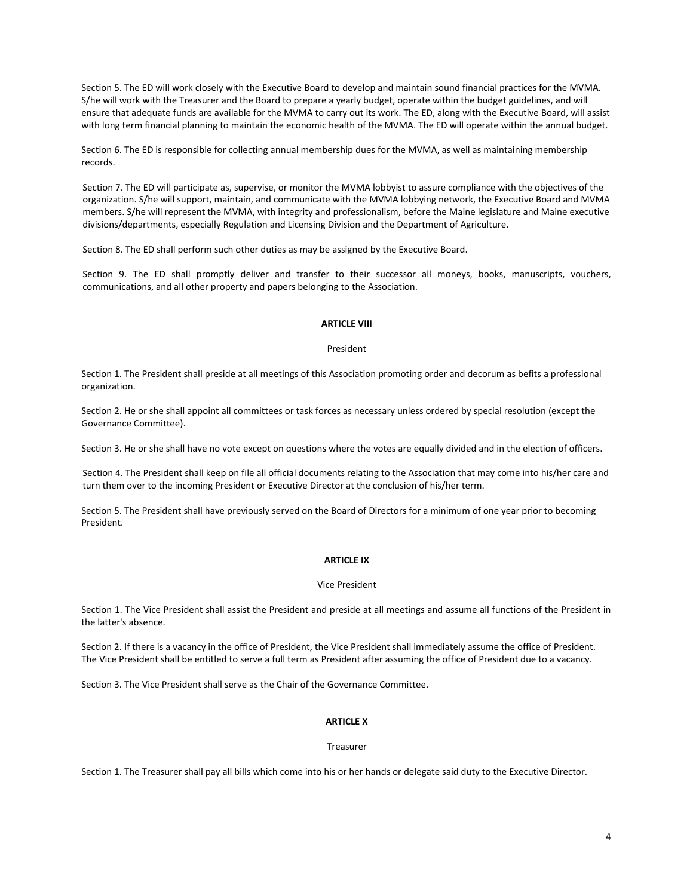Section 5. The ED will work closely with the Executive Board to develop and maintain sound financial practices for the MVMA. S/he will work with the Treasurer and the Board to prepare a yearly budget, operate within the budget guidelines, and will ensure that adequate funds are available for the MVMA to carry out its work. The ED, along with the Executive Board, will assist with long term financial planning to maintain the economic health of the MVMA. The ED will operate within the annual budget.

Section 6. The ED is responsible for collecting annual membership dues for the MVMA, as well as maintaining membership records.

Section 7. The ED will participate as, supervise, or monitor the MVMA lobbyist to assure compliance with the objectives of the organization. S/he will support, maintain, and communicate with the MVMA lobbying network, the Executive Board and MVMA members. S/he will represent the MVMA, with integrity and professionalism, before the Maine legislature and Maine executive divisions/departments, especially Regulation and Licensing Division and the Department of Agriculture.

Section 8. The ED shall perform such other duties as may be assigned by the Executive Board.

Section 9. The ED shall promptly deliver and transfer to their successor all moneys, books, manuscripts, vouchers, communications, and all other property and papers belonging to the Association.

## **ARTICLE VIII**

#### President

Section 1. The President shall preside at all meetings of this Association promoting order and decorum as befits a professional organization.

Section 2. He or she shall appoint all committees or task forces as necessary unless ordered by special resolution (except the Governance Committee).

Section 3. He or she shall have no vote except on questions where the votes are equally divided and in the election of officers.

Section 4. The President shall keep on file all official documents relating to the Association that may come into his/her care and turn them over to the incoming President or Executive Director at the conclusion of his/her term.

Section 5. The President shall have previously served on the Board of Directors for a minimum of one year prior to becoming President.

## **ARTICLE IX**

#### Vice President

Section 1. The Vice President shall assist the President and preside at all meetings and assume all functions of the President in the latter's absence.

Section 2. If there is a vacancy in the office of President, the Vice President shall immediately assume the office of President. The Vice President shall be entitled to serve a full term as President after assuming the office of President due to a vacancy.

Section 3. The Vice President shall serve as the Chair of the Governance Committee.

## **ARTICLE X**

#### Treasurer

Section 1. The Treasurer shall pay all bills which come into his or her hands or delegate said duty to the Executive Director.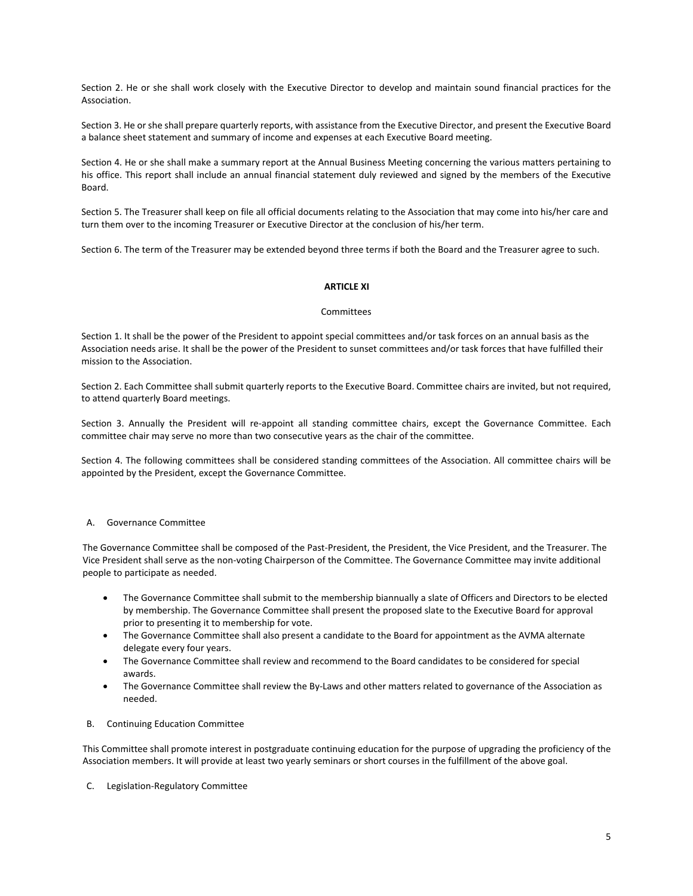Section 2. He or she shall work closely with the Executive Director to develop and maintain sound financial practices for the Association.

Section 3. He orshe shall prepare quarterly reports, with assistance from the Executive Director, and present the Executive Board a balance sheet statement and summary of income and expenses at each Executive Board meeting.

Section 4. He or she shall make a summary report at the Annual Business Meeting concerning the various matters pertaining to his office. This report shall include an annual financial statement duly reviewed and signed by the members of the Executive Board.

Section 5. The Treasurer shall keep on file all official documents relating to the Association that may come into his/her care and turn them over to the incoming Treasurer or Executive Director at the conclusion of his/her term.

Section 6. The term of the Treasurer may be extended beyond three terms if both the Board and the Treasurer agree to such.

## **ARTICLE XI**

#### Committees

Section 1. It shall be the power of the President to appoint special committees and/or task forces on an annual basis as the Association needs arise. It shall be the power of the President to sunset committees and/or task forces that have fulfilled their mission to the Association.

Section 2. Each Committee shall submit quarterly reports to the Executive Board. Committee chairs are invited, but not required, to attend quarterly Board meetings.

Section 3. Annually the President will re-appoint all standing committee chairs, except the Governance Committee. Each committee chair may serve no more than two consecutive years as the chair of the committee.

Section 4. The following committees shall be considered standing committees of the Association. All committee chairs will be appointed by the President, except the Governance Committee.

## **Governance Committee**

The Governance Committee shall be composed of the Past‐President, the President, the Vice President, and the Treasurer. The Vice President shall serve as the non‐voting Chairperson of the Committee. The Governance Committee may invite additional people to participate as needed.

- The Governance Committee shall submit to the membership biannually a slate of Officers and Directors to be elected by membership. The Governance Committee shall present the proposed slate to the Executive Board for approval prior to presenting it to membership for vote.
- The Governance Committee shall also present a candidate to the Board for appointment as the AVMA alternate delegate every four years.
- The Governance Committee shall review and recommend to the Board candidates to be considered for special awards.
- The Governance Committee shall review the By-Laws and other matters related to governance of the Association as needed.
- B. Continuing Education Committee

This Committee shall promote interest in postgraduate continuing education for the purpose of upgrading the proficiency of the Association members. It will provide at least two yearly seminars or short courses in the fulfillment of the above goal.

C. Legislation‐Regulatory Committee